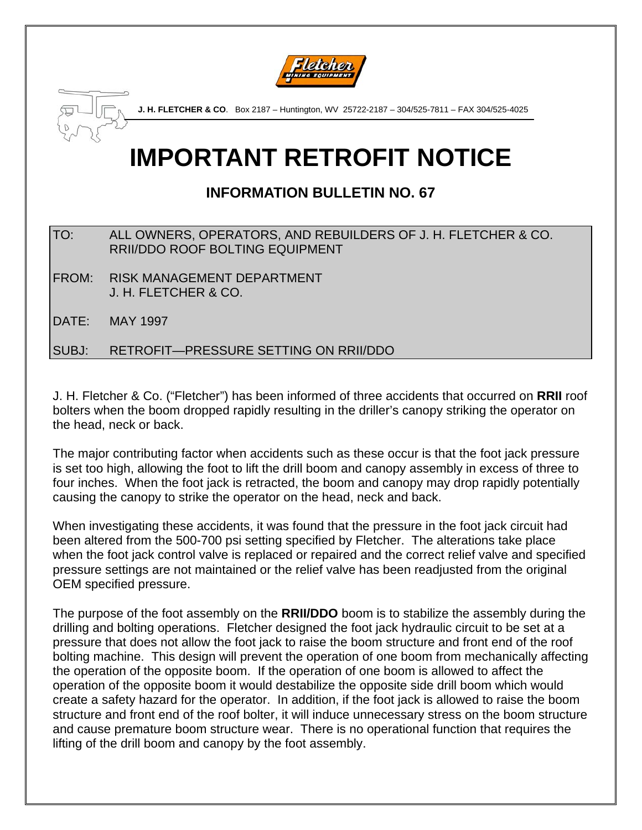



# **IMPORTANT RETROFIT NOTICE**

# **INFORMATION BULLETIN NO. 67**

| TO: | ALL OWNERS, OPERATORS, AND REBUILDERS OF J. H. FLETCHER & CO. |
|-----|---------------------------------------------------------------|
|     | <b>RRII/DDO ROOF BOLTING EQUIPMENT</b>                        |

FROM: RISK MANAGEMENT DEPARTMENT J. H. FLETCHER & CO.

DATE: MAY 1997

SUBJ: RETROFIT—PRESSURE SETTING ON RRII/DDO

J. H. Fletcher & Co. ("Fletcher") has been informed of three accidents that occurred on **RRII** roof bolters when the boom dropped rapidly resulting in the driller's canopy striking the operator on the head, neck or back.

The major contributing factor when accidents such as these occur is that the foot jack pressure is set too high, allowing the foot to lift the drill boom and canopy assembly in excess of three to four inches. When the foot jack is retracted, the boom and canopy may drop rapidly potentially causing the canopy to strike the operator on the head, neck and back.

When investigating these accidents, it was found that the pressure in the foot jack circuit had been altered from the 500-700 psi setting specified by Fletcher. The alterations take place when the foot jack control valve is replaced or repaired and the correct relief valve and specified pressure settings are not maintained or the relief valve has been readjusted from the original OEM specified pressure.

The purpose of the foot assembly on the **RRII/DDO** boom is to stabilize the assembly during the drilling and bolting operations. Fletcher designed the foot jack hydraulic circuit to be set at a pressure that does not allow the foot jack to raise the boom structure and front end of the roof bolting machine. This design will prevent the operation of one boom from mechanically affecting the operation of the opposite boom. If the operation of one boom is allowed to affect the operation of the opposite boom it would destabilize the opposite side drill boom which would create a safety hazard for the operator. In addition, if the foot jack is allowed to raise the boom structure and front end of the roof bolter, it will induce unnecessary stress on the boom structure and cause premature boom structure wear. There is no operational function that requires the lifting of the drill boom and canopy by the foot assembly.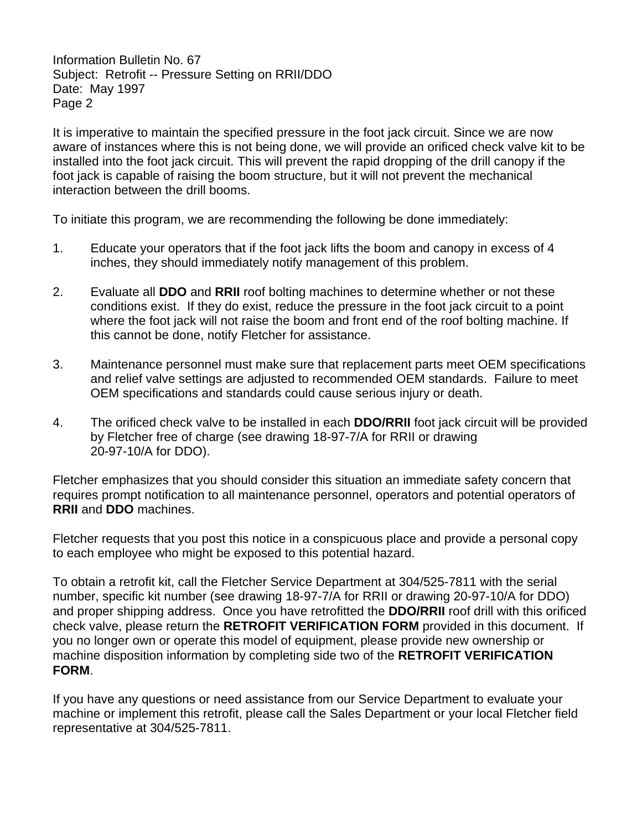Information Bulletin No. 67 Subject: Retrofit -- Pressure Setting on RRII/DDO Date: May 1997 Page 2

It is imperative to maintain the specified pressure in the foot jack circuit. Since we are now aware of instances where this is not being done, we will provide an orificed check valve kit to be installed into the foot jack circuit. This will prevent the rapid dropping of the drill canopy if the foot jack is capable of raising the boom structure, but it will not prevent the mechanical interaction between the drill booms.

To initiate this program, we are recommending the following be done immediately:

- 1. Educate your operators that if the foot jack lifts the boom and canopy in excess of 4 inches, they should immediately notify management of this problem.
- 2. Evaluate all **DDO** and **RRII** roof bolting machines to determine whether or not these conditions exist. If they do exist, reduce the pressure in the foot jack circuit to a point where the foot jack will not raise the boom and front end of the roof bolting machine. If this cannot be done, notify Fletcher for assistance.
- 3. Maintenance personnel must make sure that replacement parts meet OEM specifications and relief valve settings are adjusted to recommended OEM standards. Failure to meet OEM specifications and standards could cause serious injury or death.
- 4. The orificed check valve to be installed in each **DDO/RRII** foot jack circuit will be provided by Fletcher free of charge (see drawing 18-97-7/A for RRII or drawing 20-97-10/A for DDO).

Fletcher emphasizes that you should consider this situation an immediate safety concern that requires prompt notification to all maintenance personnel, operators and potential operators of **RRII** and **DDO** machines.

Fletcher requests that you post this notice in a conspicuous place and provide a personal copy to each employee who might be exposed to this potential hazard.

To obtain a retrofit kit, call the Fletcher Service Department at 304/525-7811 with the serial number, specific kit number (see drawing 18-97-7/A for RRII or drawing 20-97-10/A for DDO) and proper shipping address. Once you have retrofitted the **DDO/RRII** roof drill with this orificed check valve, please return the **RETROFIT VERIFICATION FORM** provided in this document. If you no longer own or operate this model of equipment, please provide new ownership or machine disposition information by completing side two of the **RETROFIT VERIFICATION FORM**.

If you have any questions or need assistance from our Service Department to evaluate your machine or implement this retrofit, please call the Sales Department or your local Fletcher field representative at 304/525-7811.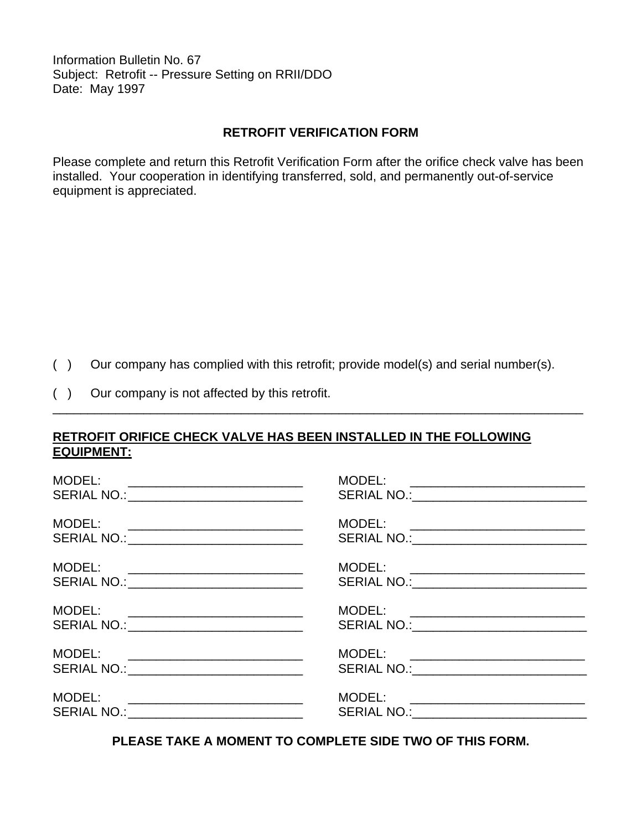Information Bulletin No. 67 Subject: Retrofit -- Pressure Setting on RRII/DDO Date: May 1997

### **RETROFIT VERIFICATION FORM**

Please complete and return this Retrofit Verification Form after the orifice check valve has been installed. Your cooperation in identifying transferred, sold, and permanently out-of-service equipment is appreciated.

( ) Our company has complied with this retrofit; provide model(s) and serial number(s).

\_\_\_\_\_\_\_\_\_\_\_\_\_\_\_\_\_\_\_\_\_\_\_\_\_\_\_\_\_\_\_\_\_\_\_\_\_\_\_\_\_\_\_\_\_\_\_\_\_\_\_\_\_\_\_\_\_\_\_\_\_\_\_\_\_\_\_\_\_\_\_\_\_\_\_\_

( ) Our company is not affected by this retrofit.

## **RETROFIT ORIFICE CHECK VALVE HAS BEEN INSTALLED IN THE FOLLOWING EQUIPMENT:**

| MODEL:<br>SERIAL NO.: ______________________________                                                                                                                         |                                                                                   |
|------------------------------------------------------------------------------------------------------------------------------------------------------------------------------|-----------------------------------------------------------------------------------|
| MODEL:<br>SERIAL NO.: ______________________________                                                                                                                         | MODEL: ___________________________<br>SERIAL NO.:______________________________   |
| MODEL:<br><u> 1980 - Andrea Andrew Maria (h. 1980).</u><br>SERIAL NO.: _____________________________                                                                         | MODEL: ___________________________<br>SERIAL NO.: ___________________________     |
| MODEL:<br><u> 2000 - 2000 - 2000 - 2000 - 2000 - 2000 - 2000 - 2000 - 2000 - 2000 - 2000 - 2000 - 2000 - 2000 - 2000 - 200</u><br>SERIAL NO.: ______________________________ | MODEL: ____________________________<br>SERIAL NO.:_______________________________ |
| MODEL:<br><u> 1980 - Jan Barbara, manazarta bashkar ta shekara ta 1980 - Andrea San A</u><br>SERIAL NO.: ______________________________                                      | MODEL: ___________________________<br>SERIAL NO.: _____________________________   |
| MODEL:<br>SERIAL NO.: __________________________________                                                                                                                     |                                                                                   |

**PLEASE TAKE A MOMENT TO COMPLETE SIDE TWO OF THIS FORM.**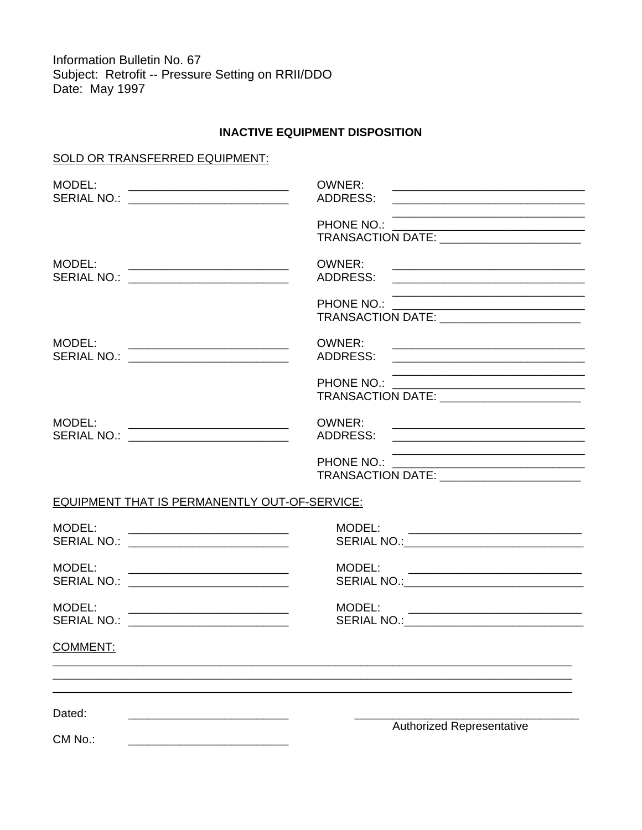Information Bulletin No. 67 Subject: Retrofit -- Pressure Setting on RRII/DDO Date: May 1997

#### **INACTIVE EQUIPMENT DISPOSITION**

#### SOLD OR TRANSFERRED EQUIPMENT:

| MODEL:<br>SERIAL NO.: ____________________________                                                                   | OWNER:<br>ADDRESS:<br><u> 2002 - Jan James James James James James James James James James James James James James James James James Ja</u>                         |
|----------------------------------------------------------------------------------------------------------------------|---------------------------------------------------------------------------------------------------------------------------------------------------------------------|
|                                                                                                                      | TRANSACTION DATE: ________________________                                                                                                                          |
| MODEL:<br><u> 2002 - Jan James James Barnett, fransk politik (d. 1882)</u><br>SERIAL NO.: __________________________ | OWNER:<br>ADDRESS:<br><u> Alexandria de la contrada de la contrada de la contrada de la contrada de la contrada de la contrada de la c</u>                          |
|                                                                                                                      | PHONE NO.:<br>TRANSACTION DATE:                                                                                                                                     |
| MODEL:<br>SERIAL NO.: _________________________                                                                      | OWNER:                                                                                                                                                              |
|                                                                                                                      | PHONE NO.:<br>TRANSACTION DATE: _________________________                                                                                                           |
| MODEL:<br>MODEL:<br>SERIAL NO.: _____________________________                                                        | OWNER:                                                                                                                                                              |
|                                                                                                                      | <u> 2000 - Jan James James James James James James James James James James James James James James James James Ja</u><br>TRANSACTION DATE: ________________________ |
| EQUIPMENT THAT IS PERMANENTLY OUT-OF-SERVICE:                                                                        |                                                                                                                                                                     |
| MODEL:<br>SERIAL NO.: ____________________________                                                                   |                                                                                                                                                                     |
| MODEL:<br>SERIAL NO.: ____________________________                                                                   |                                                                                                                                                                     |
| MODEL:<br><u> 1980 - Jan James James Barnett, fizik eta idazlear (</u><br>SERIAL NO.: __________________________     | MODEL:                                                                                                                                                              |
| COMMENT:                                                                                                             |                                                                                                                                                                     |
| Dated:                                                                                                               |                                                                                                                                                                     |
| CM No.:                                                                                                              | <b>Authorized Representative</b>                                                                                                                                    |